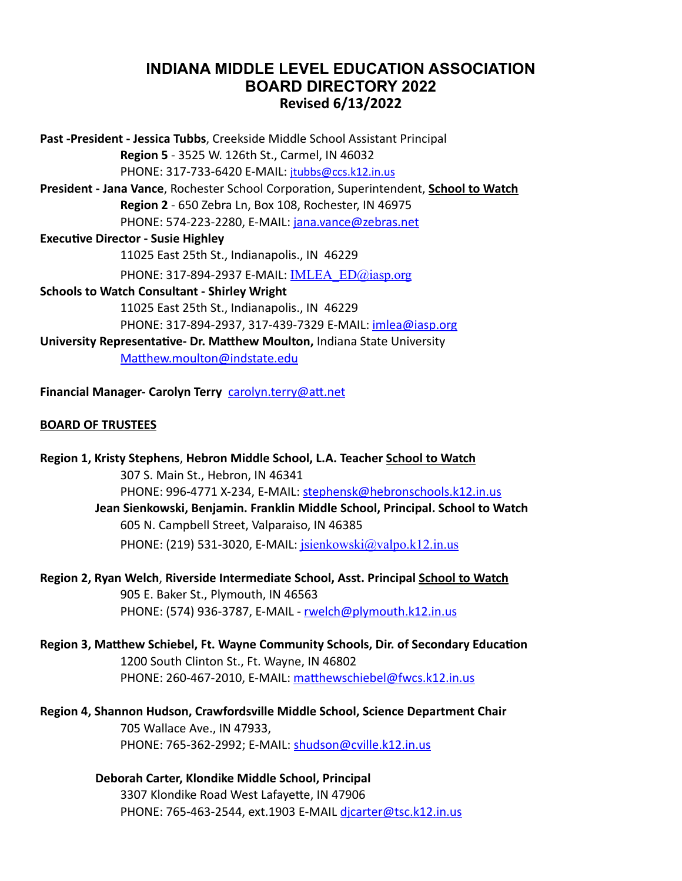# **INDIANA MIDDLE LEVEL EDUCATION ASSOCIATION BOARD DIRECTORY 2022 Revised 6/13/2022**

**Past -President - Jessica Tubbs**, Creekside Middle School Assistant Principal **Region 5** - 3525 W. 126th St., Carmel, IN 46032 PHONE: 317-733-6420 E-MAIL: [jtubbs@ccs.k12.in.us](mailto:jtubbs@ccs.k12.in.us) **President - Jana Vance**, Rochester School Corporation, Superintendent, **School to Watch Region 2** - 650 Zebra Ln, Box 108, Rochester, IN 46975 PHONE: 574-223-2280, E-MAIL: [jana.vance@zebras.net](mailto:jana.vance@zebras.net) **Executive Director - Susie Highley** 11025 East 25th St., Indianapolis., IN 46229 PHONE: 317-894-2937 E-MAIL: **IMLEA** ED@iasp.org **Schools to Watch Consultant - Shirley Wright** 11025 East 25th St., Indianapolis., IN 46229 PHONE: 317-894-2937, 317-439-7329 E-MAIL: [imlea@iasp.org](mailto:imlea@iasp.org) **University Representative- Dr. Matthew Moulton,** Indiana State University [Matthew.moulton@indstate.edu](mailto:Matthew.moulton@indstate.edu) **Financial Manager- Carolyn Terry** [carolyn.terry@att.net](mailto:carolyn.terry@att.net)

### **BOARD OF TRUSTEES**

**Region 1, Kristy Stephens**, **Hebron Middle School, L.A. Teacher School to Watch** 307 S. Main St., Hebron, IN 46341 PHONE: 996-4771 X-234, E-MAIL: [stephensk@hebronschools.k12.in.us](mailto:stephensk@hebronschools.k12.in.us) **Jean Sienkowski, Benjamin. Franklin Middle School, Principal. School to Watch** 605 N. Campbell Street, Valparaiso, IN 46385 PHONE: (219) 531-3020, E-MAIL: [jsienkowski@valpo.k12.in.us](mailto:jsienkowski@valpo.k12.in.us)

**Region 2, Ryan Welch**, **Riverside Intermediate School, Asst. Principal School to Watch** 905 E. Baker St., Plymouth, IN 46563 PHONE: (574) 936-3787, E-MAIL - [rwelch@plymouth.k12.in.us](mailto:rwelch@plymouth.k12.in.us)

**Region 3, Matthew Schiebel, Ft. Wayne Community Schools, Dir. of Secondary Education** 1200 South Clinton St., Ft. Wayne, IN 46802 PHONE: 260-467-2010, E-MAIL: [matthewschiebel@fwcs.k12.in.us](mailto:matthewschiebel@fwcs.k12.in.us)

**Region 4, Shannon Hudson, Crawfordsville Middle School, Science Department Chair** 705 Wallace Ave., IN 47933, PHONE: 765-362-2992; E-MAIL: [shudson@cville.k12.in.us](mailto:shudson@cville.k12.in.us)

> **Deborah Carter, Klondike Middle School, Principal** 3307 Klondike Road West Lafayette, IN 47906 PHONE: 765-463-2544, ext.1903 E-MAIL dicarter@tsc.k12.in.us